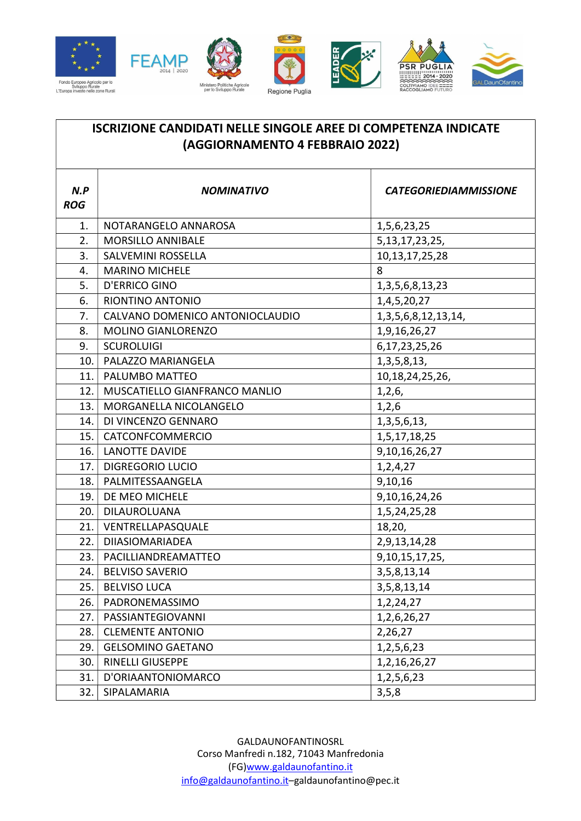







## ISCRIZIONE CANDIDATI NELLE SINGOLE AREE DI COMPETENZA INDICATE (AGGIORNAMENTO 4 FEBBRAIO 2022)

| N.P<br><b>ROG</b> | <b>NOMINATIVO</b>               | <b>CATEGORIEDIAMMISSIONE</b> |
|-------------------|---------------------------------|------------------------------|
| 1.                | NOTARANGELO ANNAROSA            | 1,5,6,23,25                  |
| 2.                | <b>MORSILLO ANNIBALE</b>        | 5, 13, 17, 23, 25,           |
| 3.                | SALVEMINI ROSSELLA              | 10, 13, 17, 25, 28           |
| 4.                | <b>MARINO MICHELE</b>           | 8                            |
| 5.                | <b>D'ERRICO GINO</b>            | 1, 3, 5, 6, 8, 13, 23        |
| 6.                | RIONTINO ANTONIO                | 1,4,5,20,27                  |
| 7.                | CALVANO DOMENICO ANTONIOCLAUDIO | 1, 3, 5, 6, 8, 12, 13, 14,   |
| 8.                | <b>MOLINO GIANLORENZO</b>       | 1,9,16,26,27                 |
| 9.                | <b>SCUROLUIGI</b>               | 6, 17, 23, 25, 26            |
| 10.               | PALAZZO MARIANGELA              | 1, 3, 5, 8, 13,              |
| 11.               | PALUMBO MATTEO                  | 10, 18, 24, 25, 26,          |
| 12.               | MUSCATIELLO GIANFRANCO MANLIO   | 1,2,6,                       |
| 13.               | MORGANELLA NICOLANGELO          | 1,2,6                        |
| 14.               | DI VINCENZO GENNARO             | 1, 3, 5, 6, 13,              |
| 15.1              | CATCONFCOMMERCIO                | 1,5,17,18,25                 |
| 16.1              | <b>LANOTTE DAVIDE</b>           | 9,10,16,26,27                |
| 17.               | <b>DIGREGORIO LUCIO</b>         | 1,2,4,27                     |
| 18.               | PALMITESSAANGELA                | 9,10,16                      |
| 19.1              | DE MEO MICHELE                  | 9,10,16,24,26                |
| 20.               | DILAUROLUANA                    | 1,5,24,25,28                 |
| 21.1              | VENTRELLAPASQUALE               | 18,20,                       |
| 22.               | <b>DIIASIOMARIADEA</b>          | 2,9,13,14,28                 |
| 23.1              | PACILLIANDREAMATTEO             | 9, 10, 15, 17, 25,           |
| 24.               | <b>BELVISO SAVERIO</b>          | 3, 5, 8, 13, 14              |
| 25.1              | <b>BELVISO LUCA</b>             | 3, 5, 8, 13, 14              |
| 26.               | PADRONEMASSIMO                  | 1,2,24,27                    |
| 27.               | PASSIANTEGIOVANNI               | 1, 2, 6, 26, 27              |
| 28.               | <b>CLEMENTE ANTONIO</b>         | 2,26,27                      |
| 29.               | <b>GELSOMINO GAETANO</b>        | 1, 2, 5, 6, 23               |
| 30.               | <b>RINELLI GIUSEPPE</b>         | 1, 2, 16, 26, 27             |
| 31.               | D'ORIAANTONIOMARCO              | 1, 2, 5, 6, 23               |
| 32.               | SIPALAMARIA                     | 3, 5, 8                      |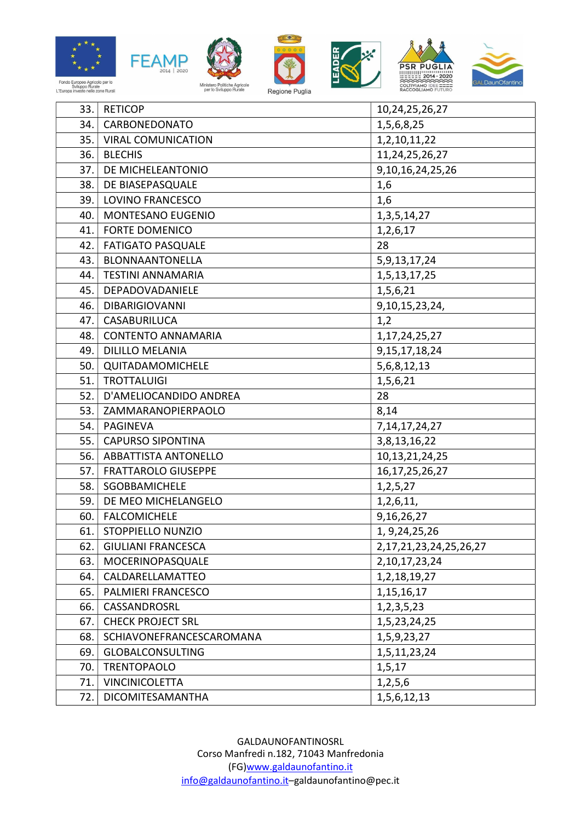











| 33.1 | <b>RETICOP</b>              | 10,24,25,26,27                |
|------|-----------------------------|-------------------------------|
| 34.1 | CARBONEDONATO               | 1,5,6,8,25                    |
| 35.1 | <b>VIRAL COMUNICATION</b>   | 1,2,10,11,22                  |
| 36.1 | <b>BLECHIS</b>              | 11, 24, 25, 26, 27            |
| 37.  | DE MICHELEANTONIO           | 9, 10, 16, 24, 25, 26         |
| 38.  | DE BIASEPASQUALE            | 1,6                           |
| 39.1 | LOVINO FRANCESCO            | 1,6                           |
| 40.  | MONTESANO EUGENIO           | 1, 3, 5, 14, 27               |
| 41.  | FORTE DOMENICO              | 1,2,6,17                      |
| 42.  | <b>FATIGATO PASQUALE</b>    | 28                            |
| 43.  | BLONNAANTONELLA             | 5, 9, 13, 17, 24              |
| 44.  | <b>TESTINI ANNAMARIA</b>    | 1, 5, 13, 17, 25              |
| 45.  | DEPADOVADANIELE             | 1,5,6,21                      |
| 46.  | <b>DIBARIGIOVANNI</b>       | 9, 10, 15, 23, 24,            |
| 47.  | CASABURILUCA                | 1,2                           |
| 48.  | <b>CONTENTO ANNAMARIA</b>   | 1, 17, 24, 25, 27             |
| 49.  | <b>DILILLO MELANIA</b>      | 9, 15, 17, 18, 24             |
|      | 50. QUITADAMOMICHELE        | 5,6,8,12,13                   |
| 51.  | <b>TROTTALUIGI</b>          | 1,5,6,21                      |
| 52.  | D'AMELIOCANDIDO ANDREA      | 28                            |
| 53.1 | ZAMMARANOPIERPAOLO          | 8,14                          |
| 54.  | <b>PAGINEVA</b>             | 7, 14, 17, 24, 27             |
| 55.  | <b>CAPURSO SIPONTINA</b>    | 3,8,13,16,22                  |
| 56.  | <b>ABBATTISTA ANTONELLO</b> | 10, 13, 21, 24, 25            |
| 57.  | <b>FRATTAROLO GIUSEPPE</b>  | 16, 17, 25, 26, 27            |
| 58.  | SGOBBAMICHELE               | 1, 2, 5, 27                   |
| 59.  | DE MEO MICHELANGELO         | 1,2,6,11,                     |
| 60.  | <b>FALCOMICHELE</b>         | 9,16,26,27                    |
| 61.  | STOPPIELLO NUNZIO           | 1, 9, 24, 25, 26              |
| 62.  | <b>GIULIANI FRANCESCA</b>   | 2, 17, 21, 23, 24, 25, 26, 27 |
| 63.  | MOCERINOPASQUALE            | 2, 10, 17, 23, 24             |
| 64.  | CALDARELLAMATTEO            | 1, 2, 18, 19, 27              |
| 65.  | <b>PALMIERI FRANCESCO</b>   | 1, 15, 16, 17                 |
| 66.  | CASSANDROSRL                | 1, 2, 3, 5, 23                |
| 67.  | <b>CHECK PROJECT SRL</b>    | 1,5,23,24,25                  |
| 68.  | SCHIAVONEFRANCESCAROMANA    | 1,5,9,23,27                   |
| 69.  | <b>GLOBALCONSULTING</b>     | 1,5,11,23,24                  |
| 70.  | <b>TRENTOPAOLO</b>          | 1,5,17                        |
| 71.  | <b>VINCINICOLETTA</b>       | 1,2,5,6                       |
| 72.  | DICOMITESAMANTHA            | 1,5,6,12,13                   |

GALDAUNOFANTINOSRL Corso Manfredi n.182, 71043 Manfredonia (FG)www.galdaunofantino.it info@galdaunofantino.it–galdaunofantino@pec.it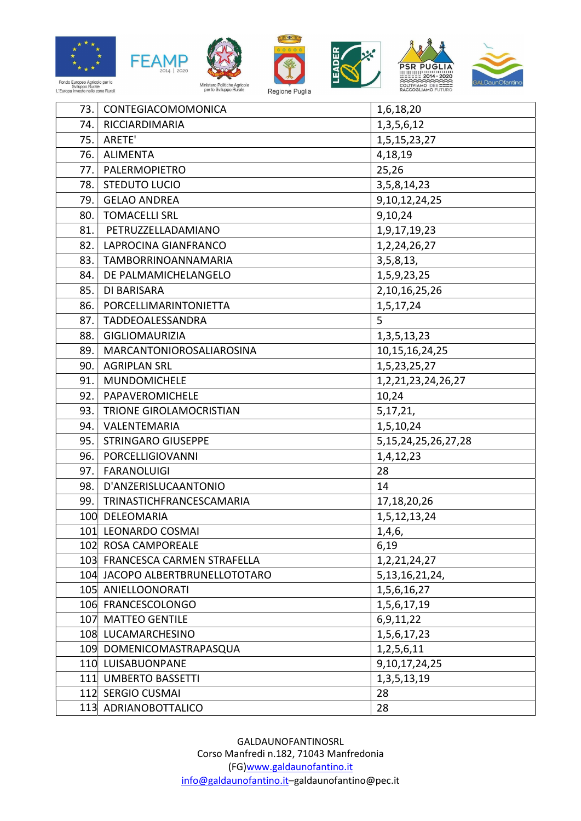













| 73.1  | CONTEGIACOMOMONICA              | 1,6,18,20                 |
|-------|---------------------------------|---------------------------|
| 74.1  | RICCIARDIMARIA                  | 1, 3, 5, 6, 12            |
| 75.   | ARETE'                          | 1,5,15,23,27              |
| 76.1  | <b>ALIMENTA</b>                 | 4,18,19                   |
| 77.   | PALERMOPIETRO                   | 25,26                     |
| 78.   | <b>STEDUTO LUCIO</b>            | 3, 5, 8, 14, 23           |
| 79.1  | <b>GELAO ANDREA</b>             | 9, 10, 12, 24, 25         |
|       | 80.   TOMACELLI SRL             | 9,10,24                   |
| 81.   | PETRUZZELLADAMIANO              | 1,9,17,19,23              |
| 82.   | LAPROCINA GIANFRANCO            | 1, 2, 24, 26, 27          |
| 83.1  | TAMBORRINOANNAMARIA             | 3,5,8,13,                 |
| 84.   | DE PALMAMICHELANGELO            | 1,5,9,23,25               |
| 85.   | DI BARISARA                     | 2,10,16,25,26             |
| 86.   | PORCELLIMARINTONIETTA           | 1,5,17,24                 |
| 87.   | TADDEOALESSANDRA                | 5                         |
| 88. l | <b>GIGLIOMAURIZIA</b>           | 1, 3, 5, 13, 23           |
| 89.   | MARCANTONIOROSALIAROSINA        | 10, 15, 16, 24, 25        |
| 90.1  | <b>AGRIPLAN SRL</b>             | 1, 5, 23, 25, 27          |
| 91.   | MUNDOMICHELE                    | 1, 2, 21, 23, 24, 26, 27  |
| 92.   | PAPAVEROMICHELE                 | 10,24                     |
| 93.1  | <b>TRIONE GIROLAMOCRISTIAN</b>  | 5, 17, 21,                |
|       | 94. VALENTEMARIA                | 1,5,10,24                 |
| 95.   | <b>STRINGARO GIUSEPPE</b>       | 5, 15, 24, 25, 26, 27, 28 |
| 96.   | PORCELLIGIOVANNI                | 1,4,12,23                 |
| 97.   | <b>FARANOLUIGI</b>              | 28                        |
| 98.1  | D'ANZERISLUCAANTONIO            | 14                        |
| 99.1  | TRINASTICHFRANCESCAMARIA        | 17,18,20,26               |
|       | 100 DELEOMARIA                  | 1,5,12,13,24              |
|       | 101 LEONARDO COSMAI             | 1,4,6,                    |
|       | 102 ROSA CAMPOREALE             | 6,19                      |
|       | 103 FRANCESCA CARMEN STRAFELLA  | 1, 2, 21, 24, 27          |
|       | 104 JACOPO ALBERTBRUNELLOTOTARO | 5, 13, 16, 21, 24,        |
|       | 105 ANIELLOONORATI              | 1,5,6,16,27               |
|       | 106 FRANCESCOLONGO              | 1,5,6,17,19               |
|       | 107 MATTEO GENTILE              | 6,9,11,22                 |
|       | 108 LUCAMARCHESINO              | 1,5,6,17,23               |
|       | 109 DOMENICOMASTRAPASQUA        | 1,2,5,6,11                |
|       | 110 LUISABUONPANE               | 9, 10, 17, 24, 25         |
|       | 111 UMBERTO BASSETTI            | 1, 3, 5, 13, 19           |
|       | 112 SERGIO CUSMAI               | 28                        |
|       | 113 ADRIANOBOTTALICO            | 28                        |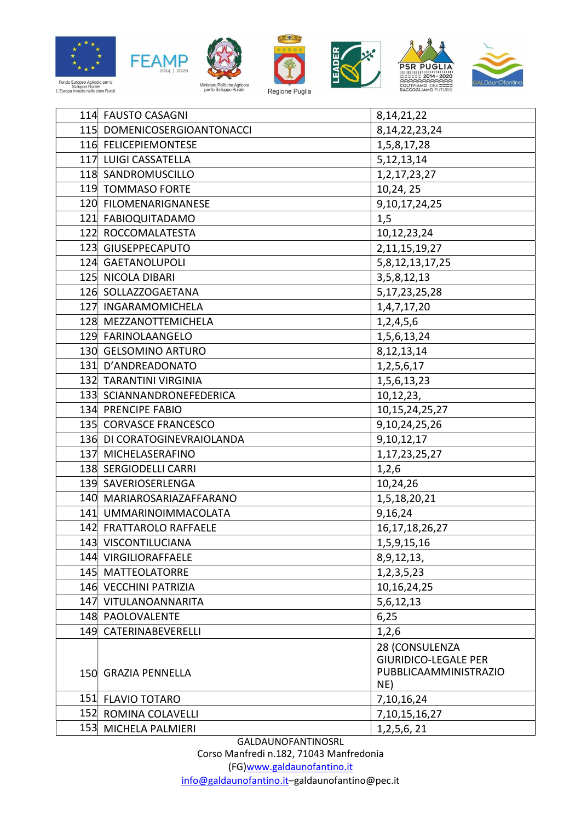











| 114 FAUSTO CASAGNI          | 8, 14, 21, 22                                                                 |
|-----------------------------|-------------------------------------------------------------------------------|
| 115 DOMENICOSERGIOANTONACCI | 8, 14, 22, 23, 24                                                             |
| 116 FELICEPIEMONTESE        | 1,5,8,17,28                                                                   |
| 117 LUIGI CASSATELLA        | 5, 12, 13, 14                                                                 |
| 118 SANDROMUSCILLO          | 1, 2, 17, 23, 27                                                              |
| 119 TOMMASO FORTE           | 10,24,25                                                                      |
| 120 FILOMENARIGNANESE       | 9, 10, 17, 24, 25                                                             |
| 121 FABIOQUITADAMO          | 1,5                                                                           |
| 122 ROCCOMALATESTA          | 10,12,23,24                                                                   |
| 123 GIUSEPPECAPUTO          | 2, 11, 15, 19, 27                                                             |
| 124 GAETANOLUPOLI           | 5,8,12,13,17,25                                                               |
| 125 NICOLA DIBARI           | 3, 5, 8, 12, 13                                                               |
| 126 SOLLAZZOGAETANA         | 5, 17, 23, 25, 28                                                             |
| 127 INGARAMOMICHELA         | 1,4,7,17,20                                                                   |
| 128 MEZZANOTTEMICHELA       | 1,2,4,5,6                                                                     |
| 129 FARINOLAANGELO          | 1,5,6,13,24                                                                   |
| 130 GELSOMINO ARTURO        | 8, 12, 13, 14                                                                 |
| 131 D'ANDREADONATO          | 1, 2, 5, 6, 17                                                                |
| 132 TARANTINI VIRGINIA      | 1,5,6,13,23                                                                   |
| 133 SCIANNANDRONEFEDERICA   | 10,12,23,                                                                     |
| 134 PRENCIPE FABIO          | 10, 15, 24, 25, 27                                                            |
| 135 CORVASCE FRANCESCO      | 9, 10, 24, 25, 26                                                             |
| 136 DI CORATOGINEVRAIOLANDA | 9,10,12,17                                                                    |
| 137 MICHELASERAFINO         | 1, 17, 23, 25, 27                                                             |
| 138 SERGIODELLI CARRI       | 1,2,6                                                                         |
| 139 SAVERIOSERLENGA         | 10,24,26                                                                      |
| 140 MARIAROSARIAZAFFARANO   | 1,5,18,20,21                                                                  |
| 141 UMMARINOIMMACOLATA      | 9,16,24                                                                       |
| 142 FRATTAROLO RAFFAELE     | 16, 17, 18, 26, 27                                                            |
| 143 VISCONTILUCIANA         | 1,5,9,15,16                                                                   |
| 144 VIRGILIORAFFAELE        | 8,9,12,13,                                                                    |
| 145 MATTEOLATORRE           | 1, 2, 3, 5, 23                                                                |
| 146 VECCHINI PATRIZIA       | 10, 16, 24, 25                                                                |
| 147 VITULANOANNARITA        | 5,6,12,13                                                                     |
| 148 PAOLOVALENTE            | 6,25                                                                          |
| 149 CATERINABEVERELLI       | 1,2,6                                                                         |
| 150 GRAZIA PENNELLA         | 28 (CONSULENZA<br><b>GIURIDICO-LEGALE PER</b><br>PUBBLICAAMMINISTRAZIO<br>NE) |
| 151 FLAVIO TOTARO           | 7,10,16,24                                                                    |
| 152 ROMINA COLAVELLI        | 7, 10, 15, 16, 27                                                             |
| 153 MICHELA PALMIERI        | 1, 2, 5, 6, 21                                                                |

GALDAUNOFANTINOSRL

Corso Manfredi n.182, 71043 Manfredonia (FG)www.galdaunofantino.it info@galdaunofantino.it–galdaunofantino@pec.it